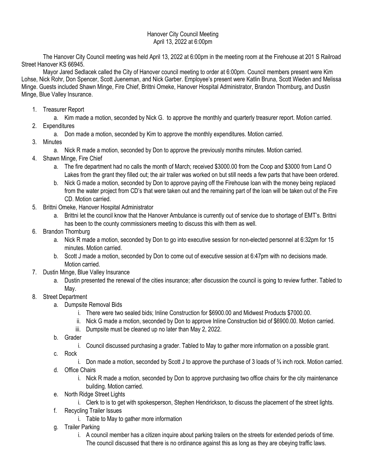## Hanover City Council Meeting April 13, 2022 at 6:00pm

The Hanover City Council meeting was held April 13, 2022 at 6:00pm in the meeting room at the Firehouse at 201 S Railroad Street Hanover KS 66945.

Mayor Jared Sedlacek called the City of Hanover council meeting to order at 6:00pm. Council members present were Kim Lohse, Nick Rohr, Don Spencer, Scott Jueneman, and Nick Garber. Employee's present were Katlin Bruna, Scott Wieden and Melissa Minge. Guests included Shawn Minge, Fire Chief, Brittni Omeke, Hanover Hospital Administrator, Brandon Thornburg, and Dustin Minge, Blue Valley Insurance.

1. Treasurer Report

a. Kim made a motion, seconded by Nick G. to approve the monthly and quarterly treasurer report. Motion carried.

- 2. Expenditures
	- a. Don made a motion, seconded by Kim to approve the monthly expenditures. Motion carried.
- 3. Minutes
	- a. Nick R made a motion, seconded by Don to approve the previously months minutes. Motion carried.
- 4. Shawn Minge, Fire Chief
	- a. The fire department had no calls the month of March; received \$3000.00 from the Coop and \$3000 from Land O Lakes from the grant they filled out; the air trailer was worked on but still needs a few parts that have been ordered.
	- b. Nick G made a motion, seconded by Don to approve paying off the Firehouse loan with the money being replaced from the water project from CD's that were taken out and the remaining part of the loan will be taken out of the Fire CD. Motion carried.
- 5. Brittni Omeke, Hanover Hospital Administrator
	- a. Brittni let the council know that the Hanover Ambulance is currently out of service due to shortage of EMT's. Brittni has been to the county commissioners meeting to discuss this with them as well.
- 6. Brandon Thornburg
	- a. Nick R made a motion, seconded by Don to go into executive session for non-elected personnel at 6:32pm for 15 minutes. Motion carried.
	- b. Scott J made a motion, seconded by Don to come out of executive session at 6:47pm with no decisions made. Motion carried.
- 7. Dustin Minge, Blue Valley Insurance
	- a. Dustin presented the renewal of the cities insurance; after discussion the council is going to review further. Tabled to May.
- 8. Street Department
	- a. Dumpsite Removal Bids
		- i. There were two sealed bids; Inline Construction for \$6900.00 and Midwest Products \$7000.00.
		- ii. Nick G made a motion, seconded by Don to approve Inline Construction bid of \$6900.00. Motion carried.
		- iii. Dumpsite must be cleaned up no later than May 2, 2022.
	- b. Grader
		- i. Council discussed purchasing a grader. Tabled to May to gather more information on a possible grant.
	- c. Rock
		- i. Don made a motion, seconded by Scott J to approve the purchase of 3 loads of  $\frac{3}{4}$  inch rock. Motion carried.
	- d. Office Chairs
		- i. Nick R made a motion, seconded by Don to approve purchasing two office chairs for the city maintenance building. Motion carried.
	- e. North Ridge Street Lights
		- i. Clerk to is to get with spokesperson, Stephen Hendrickson, to discuss the placement of the street lights.
	- f. Recycling Trailer Issues
		- i. Table to May to gather more information
	- g. Trailer Parking
		- i. A council member has a citizen inquire about parking trailers on the streets for extended periods of time. The council discussed that there is no ordinance against this as long as they are obeying traffic laws.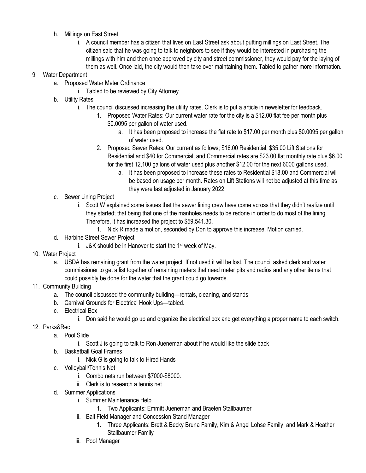- h. Millings on East Street
	- i. A council member has a citizen that lives on East Street ask about putting millings on East Street. The citizen said that he was going to talk to neighbors to see if they would be interested in purchasing the millings with him and then once approved by city and street commissioner, they would pay for the laying of them as well. Once laid, the city would then take over maintaining them. Tabled to gather more information.

## 9. Water Department

- a. Proposed Water Meter Ordinance
	- i. Tabled to be reviewed by City Attorney
- b. Utility Rates
	- i. The council discussed increasing the utility rates. Clerk is to put a article in newsletter for feedback.
		- 1. Proposed Water Rates: Our current water rate for the city is a \$12.00 flat fee per month plus \$0.0095 per gallon of water used.
			- a. It has been proposed to increase the flat rate to \$17.00 per month plus \$0.0095 per gallon of water used.
		- 2. Proposed Sewer Rates: Our current as follows; \$16.00 Residential, \$35.00 Lift Stations for Residential and \$40 for Commercial, and Commercial rates are \$23.00 flat monthly rate plus \$6.00 for the first 12,100 gallons of water used plus another \$12.00 for the next 6000 gallons used.
			- a. It has been proposed to increase these rates to Residential \$18.00 and Commercial will be based on usage per month. Rates on Lift Stations will not be adjusted at this time as they were last adjusted in January 2022.
- c. Sewer Lining Project
	- i. Scott W explained some issues that the sewer lining crew have come across that they didn't realize until they started; that being that one of the manholes needs to be redone in order to do most of the lining. Therefore, it has increased the project to \$59,541.30.
		- 1. Nick R made a motion, seconded by Don to approve this increase. Motion carried.
- d. Harbine Street Sewer Project
	- i. J&K should be in Hanover to start the  $1<sup>st</sup>$  week of May.
- 10. Water Project
	- a. USDA has remaining grant from the water project. If not used it will be lost. The council asked clerk and water commissioner to get a list together of remaining meters that need meter pits and radios and any other items that could possibly be done for the water that the grant could go towards.
- 11. Community Building
	- a. The council discussed the community building—rentals, cleaning, and stands
	- b. Carnival Grounds for Electrical Hook Ups—tabled.
	- c. Electrical Box
		- i. Don said he would go up and organize the electrical box and get everything a proper name to each switch.
- 12. Parks&Rec
	- a. Pool Slide
		- i. Scott J is going to talk to Ron Jueneman about if he would like the slide back
	- b. Basketball Goal Frames
		- i. Nick G is going to talk to Hired Hands
	- c. Volleyball/Tennis Net
		- i. Combo nets run between \$7000-\$8000.
		- ii. Clerk is to research a tennis net
	- d. Summer Applications
		- i. Summer Maintenance Help
			- 1. Two Applicants: Emmitt Jueneman and Braelen Stallbaumer
		- ii. Ball Field Manager and Concession Stand Manager
			- 1. Three Applicants: Brett & Becky Bruna Family, Kim & Angel Lohse Family, and Mark & Heather Stallbaumer Family
		- iii. Pool Manager